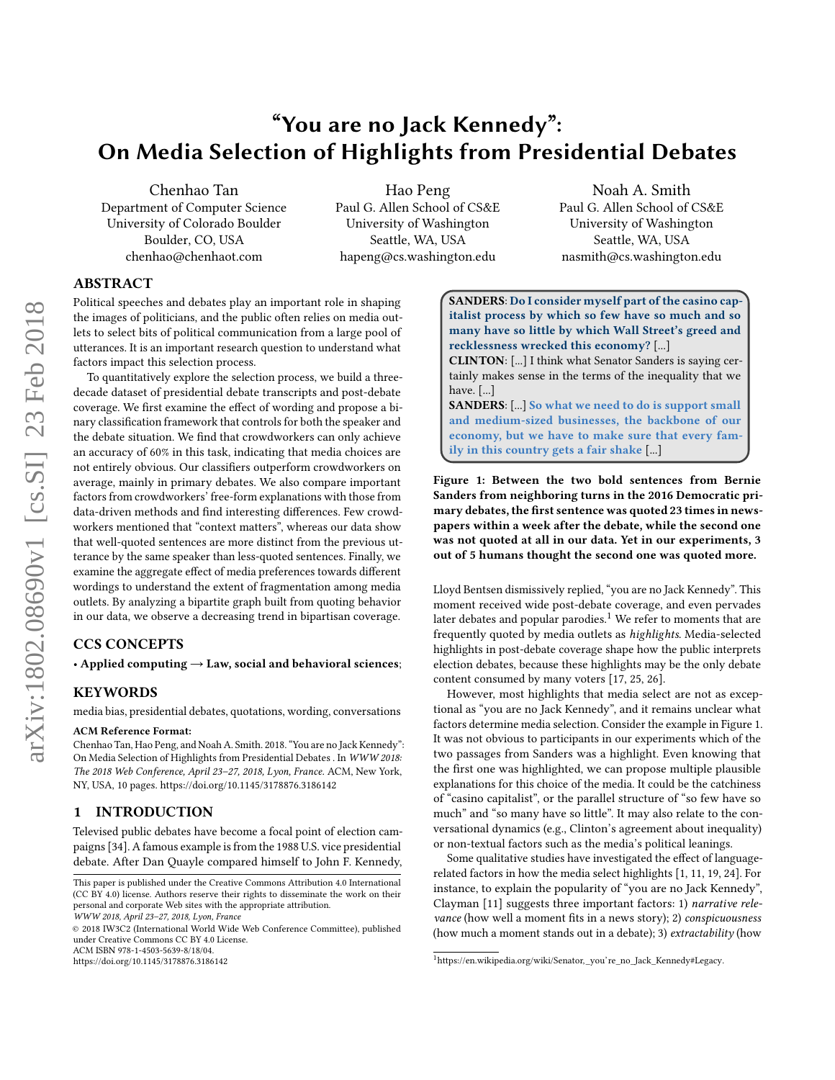# "You are no Jack Kennedy": On Media Selection of Highlights from Presidential Debates

Chenhao Tan Department of Computer Science University of Colorado Boulder Boulder, CO, USA chenhao@chenhaot.com

Hao Peng Paul G. Allen School of CS&E University of Washington Seattle, WA, USA hapeng@cs.washington.edu

Noah A. Smith Paul G. Allen School of CS&E University of Washington Seattle, WA, USA nasmith@cs.washington.edu

# ABSTRACT

Political speeches and debates play an important role in shaping the images of politicians, and the public often relies on media outlets to select bits of political communication from a large pool of utterances. It is an important research question to understand what factors impact this selection process.

To quantitatively explore the selection process, we build a threedecade dataset of presidential debate transcripts and post-debate coverage. We first examine the effect of wording and propose a binary classification framework that controls for both the speaker and the debate situation. We find that crowdworkers can only achieve an accuracy of 60% in this task, indicating that media choices are not entirely obvious. Our classifiers outperform crowdworkers on average, mainly in primary debates. We also compare important factors from crowdworkers' free-form explanations with those from data-driven methods and find interesting differences. Few crowdworkers mentioned that "context matters", whereas our data show that well-quoted sentences are more distinct from the previous utterance by the same speaker than less-quoted sentences. Finally, we examine the aggregate effect of media preferences towards different wordings to understand the extent of fragmentation among media outlets. By analyzing a bipartite graph built from quoting behavior in our data, we observe a decreasing trend in bipartisan coverage.

# CCS CONCEPTS

• Applied computing  $\rightarrow$  Law, social and behavioral sciences;

#### **KEYWORDS**

media bias, presidential debates, quotations, wording, conversations

#### ACM Reference Format:

Chenhao Tan, Hao Peng, and Noah A. Smith. 2018. "You are no Jack Kennedy": On Media Selection of Highlights from Presidential Debates . In WWW 2018: The 2018 Web Conference, April 23–27, 2018, Lyon, France. ACM, New York, NY, USA, [10](#page-9-0) pages.<https://doi.org/10.1145/3178876.3186142>

## 1 INTRODUCTION

Televised public debates have become a focal point of election campaigns [\[34\]](#page-9-1). A famous example is from the 1988 U.S. vice presidential debate. After Dan Quayle compared himself to John F. Kennedy,

WWW 2018, April 23–27, 2018, Lyon, France

© 2018 IW3C2 (International World Wide Web Conference Committee), published under Creative Commons CC BY 4.0 License. ACM ISBN 978-1-4503-5639-8/18/04.

<https://doi.org/10.1145/3178876.3186142>

italist process by which so few have so much and so many have so little by which Wall Street's greed and recklessness wrecked this economy? [...] CLINTON: [...] I think what Senator Sanders is saying certainly makes sense in the terms of the inequality that we have. [...]

<span id="page-0-1"></span>SANDERS: Do I consider myself part of the casino cap-

SANDERS: [...] So what we need to do is support small and medium-sized businesses, the backbone of our economy, but we have to make sure that every family in this country gets a fair shake [...]

Figure 1: Between the two bold sentences from Bernie Sanders from neighboring turns in the 2016 Democratic primary debates, the first sentence was quoted 23 times in newspapers within a week after the debate, while the second one was not quoted at all in our data. Yet in our experiments, 3 out of 5 humans thought the second one was quoted more.

Lloyd Bentsen dismissively replied, "you are no Jack Kennedy". This moment received wide post-debate coverage, and even pervades later debates and popular parodies.<sup>[1](#page-0-0)</sup> We refer to moments that are frequently quoted by media outlets as highlights. Media-selected highlights in post-debate coverage shape how the public interprets election debates, because these highlights may be the only debate content consumed by many voters [\[17,](#page-9-2) [25,](#page-9-3) [26\]](#page-9-4).

However, most highlights that media select are not as exceptional as "you are no Jack Kennedy", and it remains unclear what factors determine media selection. Consider the example in Figure [1.](#page-0-1) It was not obvious to participants in our experiments which of the two passages from Sanders was a highlight. Even knowing that the first one was highlighted, we can propose multiple plausible explanations for this choice of the media. It could be the catchiness of "casino capitalist", or the parallel structure of "so few have so much" and "so many have so little". It may also relate to the conversational dynamics (e.g., Clinton's agreement about inequality) or non-textual factors such as the media's political leanings.

Some qualitative studies have investigated the effect of languagerelated factors in how the media select highlights [\[1,](#page-9-5) [11,](#page-9-6) [19,](#page-9-7) [24\]](#page-9-8). For instance, to explain the popularity of "you are no Jack Kennedy", Clayman [\[11\]](#page-9-6) suggests three important factors: 1) narrative relevance (how well a moment fits in a news story); 2) conspicuousness (how much a moment stands out in a debate); 3) extractability (how

This paper is published under the Creative Commons Attribution 4.0 International (CC BY 4.0) license. Authors reserve their rights to disseminate the work on their personal and corporate Web sites with the appropriate attribution.

<span id="page-0-0"></span><sup>1</sup>[https://en.wikipedia.org/wiki/Senator,\\_you're\\_no\\_Jack\\_Kennedy#Legacy.](https://en.wikipedia.org/wiki/Senator,_you)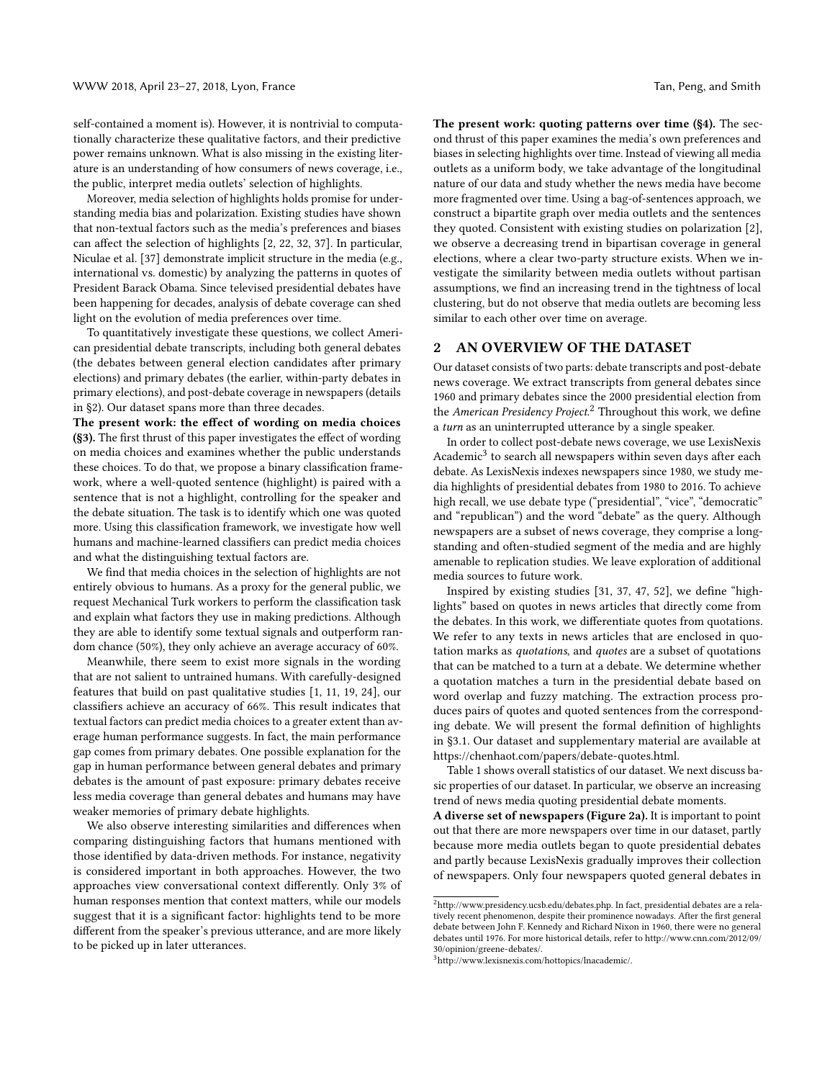self-contained a moment is). However, it is nontrivial to computationally characterize these qualitative factors, and their predictive power remains unknown. What is also missing in the existing literature is an understanding of how consumers of news coverage, i.e., the public, interpret media outlets' selection of highlights.

Moreover, media selection of highlights holds promise for understanding media bias and polarization. Existing studies have shown that non-textual factors such as the media's preferences and biases can affect the selection of highlights [\[2,](#page-9-9) [22,](#page-9-10) [32,](#page-9-11) [37\]](#page-9-12). In particular, Niculae et al. [\[37\]](#page-9-12) demonstrate implicit structure in the media (e.g., international vs. domestic) by analyzing the patterns in quotes of President Barack Obama. Since televised presidential debates have been happening for decades, analysis of debate coverage can shed light on the evolution of media preferences over time.

To quantitatively investigate these questions, we collect American presidential debate transcripts, including both general debates (the debates between general election candidates after primary elections) and primary debates (the earlier, within-party debates in primary elections), and post-debate coverage in newspapers (details in [§2\)](#page-1-0). Our dataset spans more than three decades.

The present work: the effect of wording on media choices ([§3\)](#page-2-0). The first thrust of this paper investigates the effect of wording on media choices and examines whether the public understands these choices. To do that, we propose a binary classification framework, where a well-quoted sentence (highlight) is paired with a sentence that is not a highlight, controlling for the speaker and the debate situation. The task is to identify which one was quoted more. Using this classification framework, we investigate how well humans and machine-learned classifiers can predict media choices and what the distinguishing textual factors are.

We find that media choices in the selection of highlights are not entirely obvious to humans. As a proxy for the general public, we request Mechanical Turk workers to perform the classification task and explain what factors they use in making predictions. Although they are able to identify some textual signals and outperform random chance (50%), they only achieve an average accuracy of 60%.

Meanwhile, there seem to exist more signals in the wording that are not salient to untrained humans. With carefully-designed features that build on past qualitative studies [\[1,](#page-9-5) [11,](#page-9-6) [19,](#page-9-7) [24\]](#page-9-8), our classifiers achieve an accuracy of 66%. This result indicates that textual factors can predict media choices to a greater extent than average human performance suggests. In fact, the main performance gap comes from primary debates. One possible explanation for the gap in human performance between general debates and primary debates is the amount of past exposure: primary debates receive less media coverage than general debates and humans may have weaker memories of primary debate highlights.

We also observe interesting similarities and differences when comparing distinguishing factors that humans mentioned with those identified by data-driven methods. For instance, negativity is considered important in both approaches. However, the two approaches view conversational context differently. Only 3% of human responses mention that context matters, while our models suggest that it is a significant factor: highlights tend to be more different from the speaker's previous utterance, and are more likely to be picked up in later utterances.

The present work: quoting patterns over time ([§4\)](#page-5-0). The second thrust of this paper examines the media's own preferences and biases in selecting highlights over time. Instead of viewing all media outlets as a uniform body, we take advantage of the longitudinal nature of our data and study whether the news media have become more fragmented over time. Using a bag-of-sentences approach, we construct a bipartite graph over media outlets and the sentences they quoted. Consistent with existing studies on polarization [\[2\]](#page-9-9), we observe a decreasing trend in bipartisan coverage in general elections, where a clear two-party structure exists. When we investigate the similarity between media outlets without partisan assumptions, we find an increasing trend in the tightness of local clustering, but do not observe that media outlets are becoming less similar to each other over time on average.

#### <span id="page-1-0"></span>2 AN OVERVIEW OF THE DATASET

Our dataset consists of two parts: debate transcripts and post-debate news coverage. We extract transcripts from general debates since 1960 and primary debates since the 2000 presidential election from the American Presidency Project.<sup>[2](#page-1-1)</sup> Throughout this work, we define a turn as an uninterrupted utterance by a single speaker.

In order to collect post-debate news coverage, we use LexisNexis Academic<sup>[3](#page-1-2)</sup> to search all newspapers within seven days after each debate. As LexisNexis indexes newspapers since 1980, we study media highlights of presidential debates from 1980 to 2016. To achieve high recall, we use debate type ("presidential", "vice", "democratic" and "republican") and the word "debate" as the query. Although newspapers are a subset of news coverage, they comprise a longstanding and often-studied segment of the media and are highly amenable to replication studies. We leave exploration of additional media sources to future work.

Inspired by existing studies [\[31,](#page-9-13) [37,](#page-9-12) [47,](#page-9-14) [52\]](#page-9-15), we define "highlights" based on quotes in news articles that directly come from the debates. In this work, we differentiate quotes from quotations. We refer to any texts in news articles that are enclosed in quotation marks as quotations, and quotes are a subset of quotations that can be matched to a turn at a debate. We determine whether a quotation matches a turn in the presidential debate based on word overlap and fuzzy matching. The extraction process produces pairs of quotes and quoted sentences from the corresponding debate. We will present the formal definition of highlights in [§3.1.](#page-2-1) Our dataset and supplementary material are available at [https://chenhaot.com/papers/debate-quotes.html.](https://chenhaot.com/papers/debate-quotes.html)

Table [1](#page-2-2) shows overall statistics of our dataset. We next discuss basic properties of our dataset. In particular, we observe an increasing trend of news media quoting presidential debate moments.

A diverse set of newspapers (Figure [2a\)](#page-2-3). It is important to point out that there are more newspapers over time in our dataset, partly because more media outlets began to quote presidential debates and partly because LexisNexis gradually improves their collection of newspapers. Only four newspapers quoted general debates in

<span id="page-1-1"></span> $^2$ [http://www.presidency.ucsb.edu/debates.php.](http://www.presidency.ucsb.edu/debates.php) In fact, presidential debates are a relatively recent phenomenon, despite their prominence nowadays. After the first general debate between John F. Kennedy and Richard Nixon in 1960, there were no general debates until 1976. For more historical details, refer to [http://www.cnn.com/2012/09/](http://www.cnn.com/2012/09/30/opinion/greene-debates/) [30/opinion/greene-debates/.](http://www.cnn.com/2012/09/30/opinion/greene-debates/)

<span id="page-1-2"></span><sup>3</sup>[http://www.lexisnexis.com/hottopics/lnacademic/.](http://www.lexisnexis.com/hottopics/lnacademic/)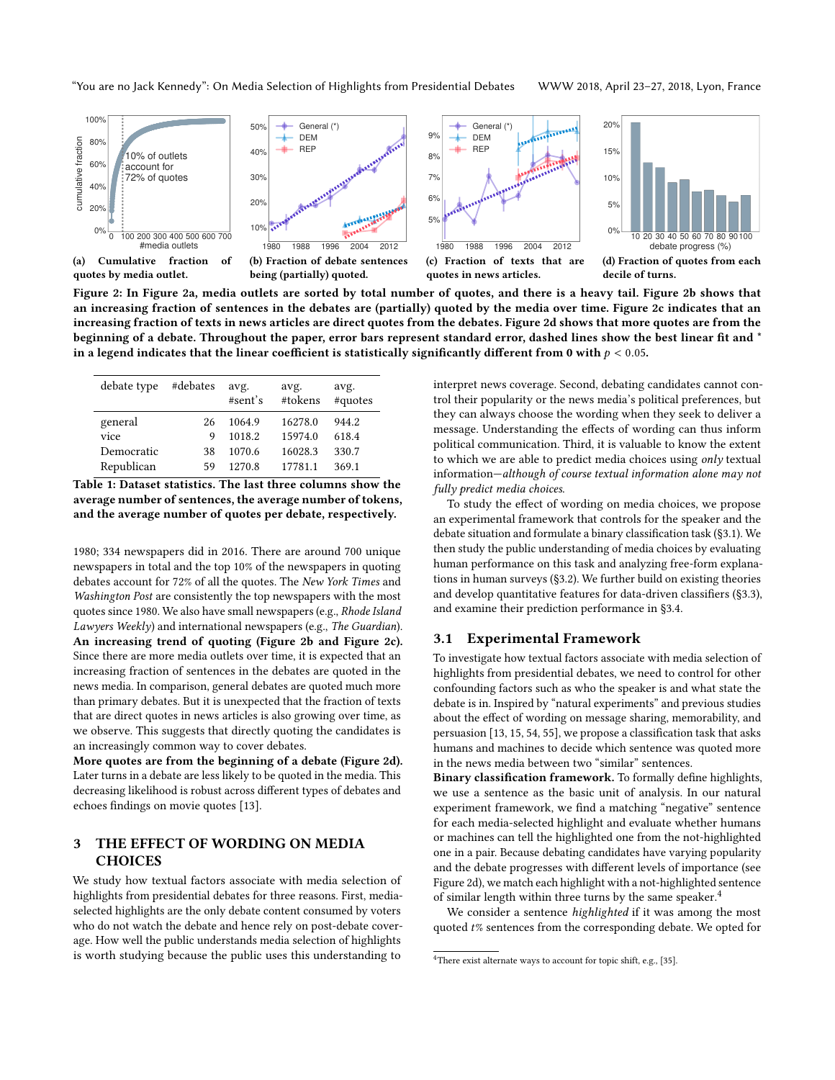"You are no Jack Kennedy": On Media Selection of Highlights from Presidential Debates WWW 2018, April 23–27, 2018, Lyon, France

<span id="page-2-3"></span>

Figure 2: In Figure [2a,](#page-2-3) media outlets are sorted by total number of quotes, and there is a heavy tail. Figure [2b](#page-2-3) shows that an increasing fraction of sentences in the debates are (partially) quoted by the media over time. Figure [2c](#page-2-3) indicates that an increasing fraction of texts in news articles are direct quotes from the debates. Figure [2d](#page-2-3) shows that more quotes are from the beginning of a debate. Throughout the paper, error bars represent standard error, dashed lines show the best linear fit and ' in a legend indicates that the linear coefficient is statistically significantly different from 0 with  $p < 0.05$ .

<span id="page-2-2"></span>

| debate type | #debates | avg.<br>#sent's | avg.<br>#tokens | avg.<br>#quotes |
|-------------|----------|-----------------|-----------------|-----------------|
| general     | 26       | 1064.9          | 16278.0         | 944.2           |
| vice        | 9        | 1018.2          | 15974.0         | 618.4           |
| Democratic  | 38       | 1070.6          | 16028.3         | 330.7           |
| Republican  | 59       | 1270.8          | 17781.1         | 369.1           |

Table 1: Dataset statistics. The last three columns show the average number of sentences, the average number of tokens, and the average number of quotes per debate, respectively.

1980; 334 newspapers did in 2016. There are around 700 unique newspapers in total and the top 10% of the newspapers in quoting debates account for 72% of all the quotes. The New York Times and Washington Post are consistently the top newspapers with the most quotes since 1980. We also have small newspapers (e.g., Rhode Island Lawyers Weekly) and international newspapers (e.g., The Guardian). An increasing trend of quoting (Figure [2b](#page-2-3) and Figure [2c\)](#page-2-3). Since there are more media outlets over time, it is expected that an increasing fraction of sentences in the debates are quoted in the news media. In comparison, general debates are quoted much more than primary debates. But it is unexpected that the fraction of texts that are direct quotes in news articles is also growing over time, as we observe. This suggests that directly quoting the candidates is an increasingly common way to cover debates.

More quotes are from the beginning of a debate (Figure [2d\)](#page-2-3). Later turns in a debate are less likely to be quoted in the media. This decreasing likelihood is robust across different types of debates and echoes findings on movie quotes [\[13\]](#page-9-16).

# <span id="page-2-0"></span>3 THE EFFECT OF WORDING ON MEDIA **CHOICES**

We study how textual factors associate with media selection of highlights from presidential debates for three reasons. First, mediaselected highlights are the only debate content consumed by voters who do not watch the debate and hence rely on post-debate coverage. How well the public understands media selection of highlights is worth studying because the public uses this understanding to

interpret news coverage. Second, debating candidates cannot control their popularity or the news media's political preferences, but they can always choose the wording when they seek to deliver a message. Understanding the effects of wording can thus inform political communication. Third, it is valuable to know the extent to which we are able to predict media choices using only textual information—although of course textual information alone may not fully predict media choices.

To study the effect of wording on media choices, we propose an experimental framework that controls for the speaker and the debate situation and formulate a binary classification task ([§3.1\)](#page-2-1). We then study the public understanding of media choices by evaluating human performance on this task and analyzing free-form explanations in human surveys ([§3.2\)](#page-3-0). We further build on existing theories and develop quantitative features for data-driven classifiers ([§3.3\)](#page-3-1), and examine their prediction performance in [§3.4.](#page-5-1)

#### <span id="page-2-1"></span>3.1 Experimental Framework

To investigate how textual factors associate with media selection of highlights from presidential debates, we need to control for other confounding factors such as who the speaker is and what state the debate is in. Inspired by "natural experiments" and previous studies about the effect of wording on message sharing, memorability, and persuasion [\[13,](#page-9-16) [15,](#page-9-17) [54,](#page-9-18) [55\]](#page-9-19), we propose a classification task that asks humans and machines to decide which sentence was quoted more in the news media between two "similar" sentences.

Binary classification framework. To formally define highlights, we use a sentence as the basic unit of analysis. In our natural experiment framework, we find a matching "negative" sentence for each media-selected highlight and evaluate whether humans or machines can tell the highlighted one from the not-highlighted one in a pair. Because debating candidates have varying popularity and the debate progresses with different levels of importance (see Figure [2d\)](#page-2-3), we match each highlight with a not-highlighted sentence of similar length within three turns by the same speaker.<sup>[4](#page-2-4)</sup>

We consider a sentence highlighted if it was among the most quoted t% sentences from the corresponding debate. We opted for

<span id="page-2-4"></span><sup>4</sup>There exist alternate ways to account for topic shift, e.g., [\[35\]](#page-9-20).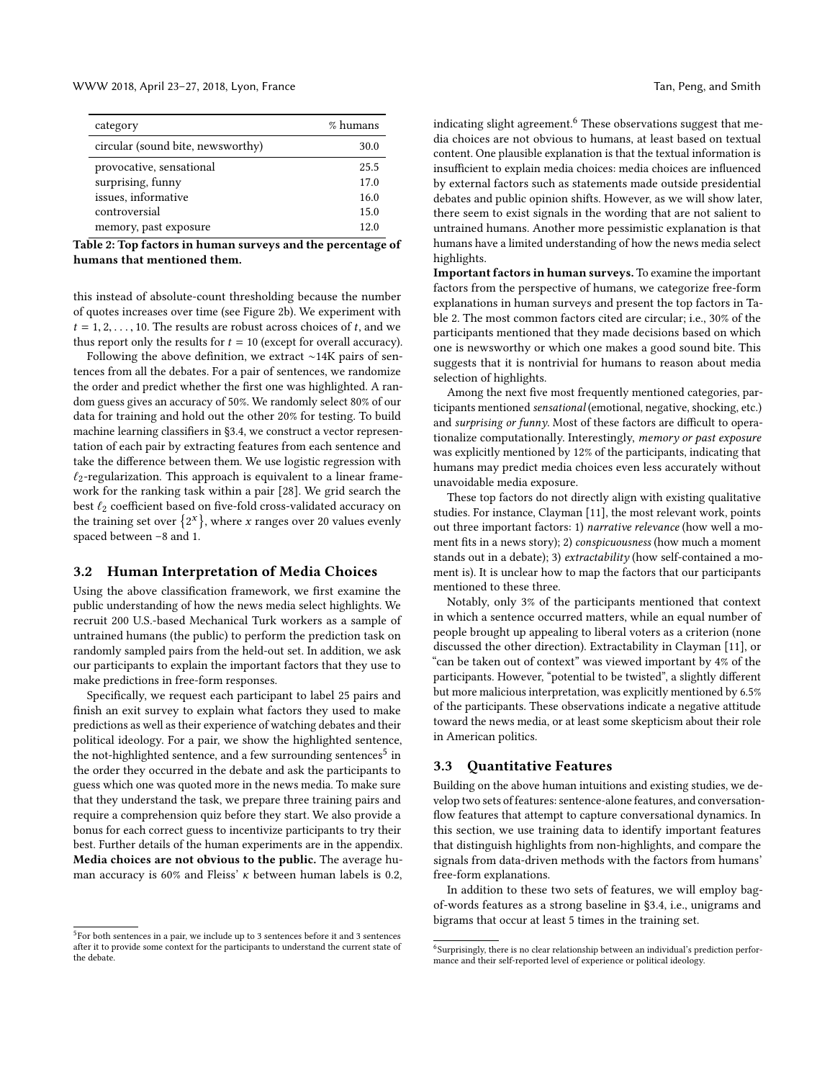#### WWW 2018, April 23–27, 2018, Lyon, France Tan, Peng, and Smith

<span id="page-3-4"></span>

| category                          | % humans |
|-----------------------------------|----------|
| circular (sound bite, newsworthy) | 30.0     |
| provocative, sensational          | 25.5     |
| surprising, funny                 | 17.0     |
| issues, informative               | 16.0     |
| controversial                     | 15.0     |
| memory, past exposure             | 12.0     |

Table 2: Top factors in human surveys and the percentage of humans that mentioned them.

this instead of absolute-count thresholding because the number of quotes increases over time (see Figure [2b\)](#page-2-3). We experiment with  $t = 1, 2, \ldots, 10$ . The results are robust across choices of  $t$ , and we thus report only the results for  $t = 10$  (except for overall accuracy).

Following the above definition, we extract ∼14K pairs of sentences from all the debates. For a pair of sentences, we randomize the order and predict whether the first one was highlighted. A random guess gives an accuracy of 50%. We randomly select 80% of our data for training and hold out the other 20% for testing. To build machine learning classifiers in [§3.4,](#page-5-1) we construct a vector representation of each pair by extracting features from each sentence and take the difference between them. We use logistic regression with  $\ell_2$ -regularization. This approach is equivalent to a linear framework for the ranking task within a pair [\[28\]](#page-9-21). We grid search the best  $\ell_2$  coefficient based on five-fold cross-validated accuracy on the training set over  $\{2^x\}$ , where x ranges over 20 values evenly<br>spaced between  $-8$  and 1 spaced between –8 and 1.

#### <span id="page-3-0"></span>3.2 Human Interpretation of Media Choices

Using the above classification framework, we first examine the public understanding of how the news media select highlights. We recruit 200 U.S.-based Mechanical Turk workers as a sample of untrained humans (the public) to perform the prediction task on randomly sampled pairs from the held-out set. In addition, we ask our participants to explain the important factors that they use to make predictions in free-form responses.

Specifically, we request each participant to label 25 pairs and finish an exit survey to explain what factors they used to make predictions as well as their experience of watching debates and their political ideology. For a pair, we show the highlighted sentence, the not-highlighted sentence, and a few surrounding sentences $^5$  $^5$  in the order they occurred in the debate and ask the participants to guess which one was quoted more in the news media. To make sure that they understand the task, we prepare three training pairs and require a comprehension quiz before they start. We also provide a bonus for each correct guess to incentivize participants to try their best. Further details of the human experiments are in the appendix. Media choices are not obvious to the public. The average human accuracy is 60% and Fleiss'  $\kappa$  between human labels is 0.2,

indicating slight agreement.<sup>[6](#page-3-3)</sup> These observations suggest that media choices are not obvious to humans, at least based on textual content. One plausible explanation is that the textual information is insufficient to explain media choices: media choices are influenced by external factors such as statements made outside presidential debates and public opinion shifts. However, as we will show later, there seem to exist signals in the wording that are not salient to untrained humans. Another more pessimistic explanation is that humans have a limited understanding of how the news media select highlights.

Important factors in human surveys. To examine the important factors from the perspective of humans, we categorize free-form explanations in human surveys and present the top factors in Table [2.](#page-3-4) The most common factors cited are circular; i.e., 30% of the participants mentioned that they made decisions based on which one is newsworthy or which one makes a good sound bite. This suggests that it is nontrivial for humans to reason about media selection of highlights.

Among the next five most frequently mentioned categories, participants mentioned sensational (emotional, negative, shocking, etc.) and surprising or funny. Most of these factors are difficult to operationalize computationally. Interestingly, memory or past exposure was explicitly mentioned by 12% of the participants, indicating that humans may predict media choices even less accurately without unavoidable media exposure.

These top factors do not directly align with existing qualitative studies. For instance, Clayman [\[11\]](#page-9-6), the most relevant work, points out three important factors: 1) narrative relevance (how well a moment fits in a news story); 2) conspicuousness (how much a moment stands out in a debate); 3) extractability (how self-contained a moment is). It is unclear how to map the factors that our participants mentioned to these three.

Notably, only 3% of the participants mentioned that context in which a sentence occurred matters, while an equal number of people brought up appealing to liberal voters as a criterion (none discussed the other direction). Extractability in Clayman [\[11\]](#page-9-6), or "can be taken out of context" was viewed important by 4% of the participants. However, "potential to be twisted", a slightly different but more malicious interpretation, was explicitly mentioned by 6.5% of the participants. These observations indicate a negative attitude toward the news media, or at least some skepticism about their role in American politics.

## <span id="page-3-1"></span>3.3 Quantitative Features

Building on the above human intuitions and existing studies, we develop two sets of features: sentence-alone features, and conversationflow features that attempt to capture conversational dynamics. In this section, we use training data to identify important features that distinguish highlights from non-highlights, and compare the signals from data-driven methods with the factors from humans' free-form explanations.

In addition to these two sets of features, we will employ bagof-words features as a strong baseline in [§3.4,](#page-5-1) i.e., unigrams and bigrams that occur at least 5 times in the training set.

<span id="page-3-2"></span> $5$ For both sentences in a pair, we include up to 3 sentences before it and 3 sentences after it to provide some context for the participants to understand the current state of the debate.

<span id="page-3-3"></span><sup>&</sup>lt;sup>6</sup>Surprisingly, there is no clear relationship between an individual's prediction performance and their self-reported level of experience or political ideology.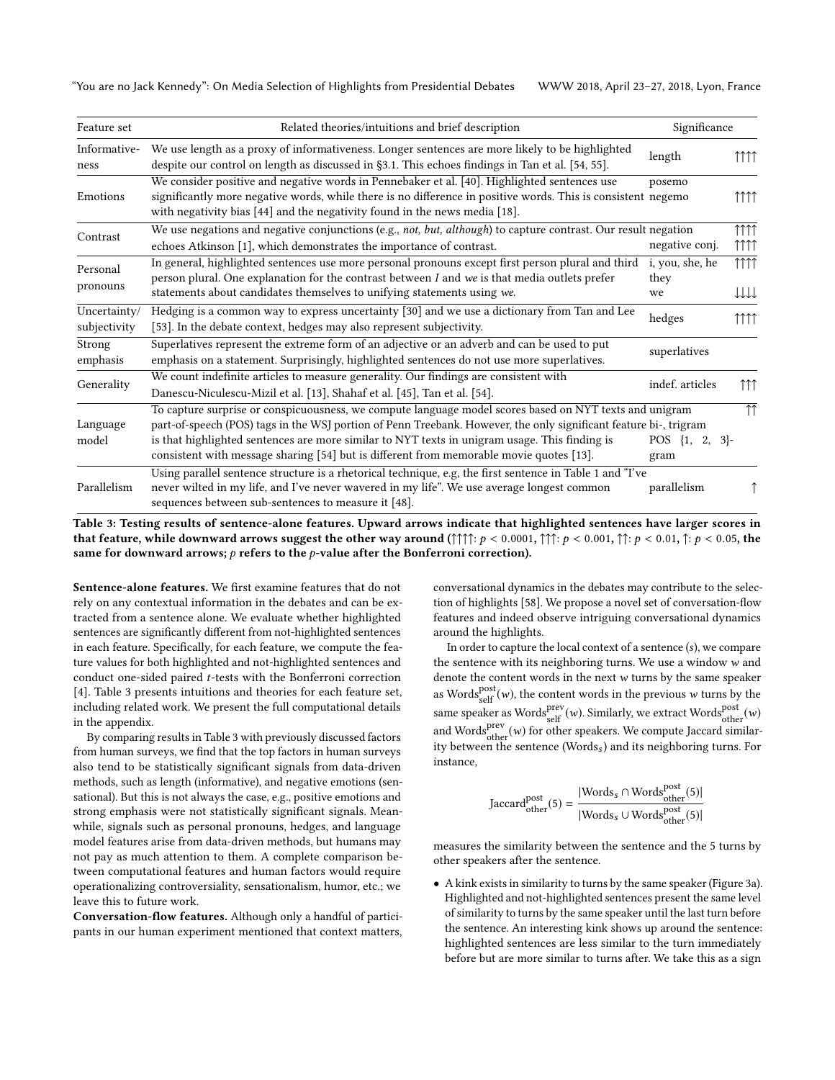"You are no Jack Kennedy": On Media Selection of Highlights from Presidential Debates WWW 2018, April 23–27, 2018, Lyon, France

<span id="page-4-0"></span>

| Feature set                  | Related theories/intuitions and brief description                                                                                                                                                                                                                                                                                                                                                                        |                               | Significance                                  |  |
|------------------------------|--------------------------------------------------------------------------------------------------------------------------------------------------------------------------------------------------------------------------------------------------------------------------------------------------------------------------------------------------------------------------------------------------------------------------|-------------------------------|-----------------------------------------------|--|
| Informative-<br>ness         | We use length as a proxy of informativeness. Longer sentences are more likely to be highlighted<br>despite our control on length as discussed in §3.1. This echoes findings in Tan et al. [54, 55].                                                                                                                                                                                                                      | length                        | TTTT                                          |  |
| Emotions                     | We consider positive and negative words in Pennebaker et al. [40]. Highlighted sentences use<br>significantly more negative words, while there is no difference in positive words. This is consistent negemo<br>with negativity bias [44] and the negativity found in the news media [18].                                                                                                                               | posemo                        | 7777                                          |  |
| Contrast                     | We use negations and negative conjunctions (e.g., not, but, although) to capture contrast. Our result negation<br>echoes Atkinson [1], which demonstrates the importance of contrast.                                                                                                                                                                                                                                    | negative conj.                | $\uparrow \uparrow \uparrow \uparrow$<br>TTTT |  |
| Personal<br>pronouns         | In general, highlighted sentences use more personal pronouns except first person plural and third<br>person plural. One explanation for the contrast between $I$ and we is that media outlets prefer<br>statements about candidates themselves to unifying statements using we.                                                                                                                                          | i, you, she, he<br>they<br>we | 1111<br>TTT                                   |  |
| Uncertainty/<br>subjectivity | Hedging is a common way to express uncertainty [30] and we use a dictionary from Tan and Lee<br>[53]. In the debate context, hedges may also represent subjectivity.                                                                                                                                                                                                                                                     | hedges                        | 7777                                          |  |
| Strong<br>emphasis           | Superlatives represent the extreme form of an adjective or an adverb and can be used to put<br>emphasis on a statement. Surprisingly, highlighted sentences do not use more superlatives.                                                                                                                                                                                                                                | superlatives                  |                                               |  |
| Generality                   | We count indefinite articles to measure generality. Our findings are consistent with<br>Danescu-Niculescu-Mizil et al. [13], Shahaf et al. [45], Tan et al. [54].                                                                                                                                                                                                                                                        | indef. articles               | $\uparrow \uparrow \uparrow$                  |  |
| Language<br>model            | To capture surprise or conspicuousness, we compute language model scores based on NYT texts and unigram<br>part-of-speech (POS) tags in the WSJ portion of Penn Treebank. However, the only significant feature bi-, trigram<br>is that highlighted sentences are more similar to NYT texts in unigram usage. This finding is<br>consistent with message sharing [54] but is different from memorable movie quotes [13]. | POS $\{1, 2, 3\}$ -<br>gram   | $\uparrow\uparrow$                            |  |
| Parallelism                  | Using parallel sentence structure is a rhetorical technique, e.g, the first sentence in Table 1 and "I've<br>never wilted in my life, and I've never wavered in my life". We use average longest common<br>sequences between sub-sentences to measure it [48].                                                                                                                                                           | parallelism                   |                                               |  |

Table 3: Testing results of sentence-alone features. Upward arrows indicate that highlighted sentences have larger scores in that feature, while downward arrows suggest the other way around ( $\uparrow \uparrow \uparrow \uparrow$ ;  $p < 0.0001$ ,  $\uparrow \uparrow \uparrow$ ;  $p < 0.01$ ,  $\uparrow \uparrow$ ;  $p < 0.01$ ,  $\uparrow \uparrow$ ;  $p < 0.05$ , the same for downward arrows;  $p$  refers to the  $p$ -value after the Bonferroni correction).

Sentence-alone features. We first examine features that do not rely on any contextual information in the debates and can be extracted from a sentence alone. We evaluate whether highlighted sentences are significantly different from not-highlighted sentences in each feature. Specifically, for each feature, we compute the feature values for both highlighted and not-highlighted sentences and conduct one-sided paired t-tests with the Bonferroni correction [\[4\]](#page-9-29). Table [3](#page-4-0) presents intuitions and theories for each feature set, including related work. We present the full computational details in the appendix.

By comparing results in Table [3](#page-4-0) with previously discussed factors from human surveys, we find that the top factors in human surveys also tend to be statistically significant signals from data-driven methods, such as length (informative), and negative emotions (sensational). But this is not always the case, e.g., positive emotions and strong emphasis were not statistically significant signals. Meanwhile, signals such as personal pronouns, hedges, and language model features arise from data-driven methods, but humans may not pay as much attention to them. A complete comparison between computational features and human factors would require operationalizing controversiality, sensationalism, humor, etc.; we leave this to future work.

Conversation-flow features. Although only a handful of participants in our human experiment mentioned that context matters, conversational dynamics in the debates may contribute to the selection of highlights [\[58\]](#page-9-30). We propose a novel set of conversation-flow features and indeed observe intriguing conversational dynamics around the highlights.

In order to capture the local context of a sentence (s), we compare the sentence with its neighboring turns. We use a window w and denote the content words in the next w turns by the same speaker as Words<sup>post</sup> (w), the content words in the previous w turns by the self (w), the content words in the previous w turns by the same speaker as Words $\frac{\text{prev}}{\text{self}}(w)$ . Similarly, we extract Words $\frac{\text{post}}{\text{other}}(w)$ and Words<sup>prev</sup> (w) for other speakers. We compute Jaccard similar-<br>ity between the sentence (Words.) and its neighboring turns. For ity between the sentence (Words $_s$ ) and its neighboring turns. For instance,

$$
Jaccard^{post}_{other}(5) = \frac{|Words_{s} \cap Words^{post}_{other}(5)|}{|Words_{s} \cup Words^{post}_{other}(5)|}
$$

measures the similarity between the sentence and the 5 turns by other speakers after the sentence.

• A kink exists in similarity to turns by the same speaker (Figure [3a\)](#page-5-2). Highlighted and not-highlighted sentences present the same level of similarity to turns by the same speaker until the last turn before the sentence. An interesting kink shows up around the sentence: highlighted sentences are less similar to the turn immediately before but are more similar to turns after. We take this as a sign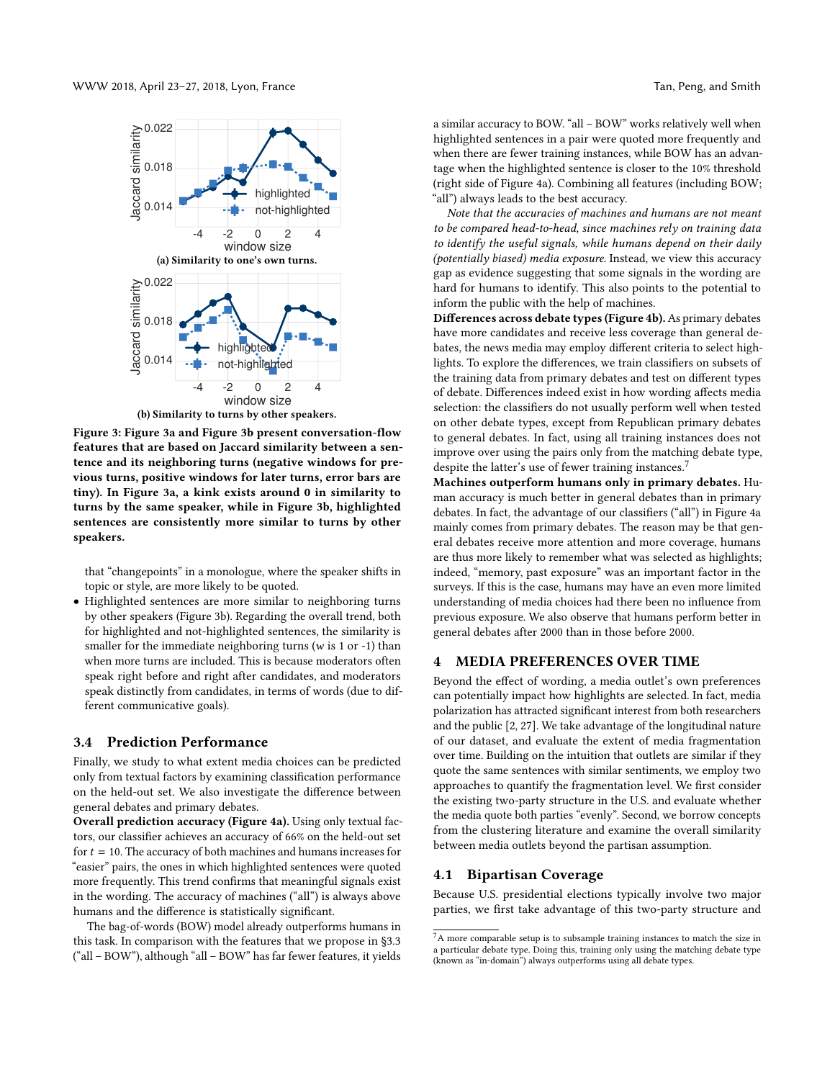<span id="page-5-2"></span>

Figure 3: Figure [3a](#page-5-2) and Figure [3b](#page-5-2) present conversation-flow

features that are based on Jaccard similarity between a sentence and its neighboring turns (negative windows for previous turns, positive windows for later turns, error bars are tiny). In Figure [3a,](#page-5-2) a kink exists around 0 in similarity to turns by the same speaker, while in Figure [3b,](#page-5-2) highlighted sentences are consistently more similar to turns by other speakers.

that "changepoints" in a monologue, where the speaker shifts in topic or style, are more likely to be quoted.

• Highlighted sentences are more similar to neighboring turns by other speakers (Figure [3b\)](#page-5-2). Regarding the overall trend, both for highlighted and not-highlighted sentences, the similarity is smaller for the immediate neighboring turns ( $w$  is 1 or -1) than when more turns are included. This is because moderators often speak right before and right after candidates, and moderators speak distinctly from candidates, in terms of words (due to different communicative goals).

## <span id="page-5-1"></span>3.4 Prediction Performance

Finally, we study to what extent media choices can be predicted only from textual factors by examining classification performance on the held-out set. We also investigate the difference between general debates and primary debates.

Overall prediction accuracy (Figure [4a\)](#page-6-0). Using only textual factors, our classifier achieves an accuracy of 66% on the held-out set for  $t = 10$ . The accuracy of both machines and humans increases for "easier" pairs, the ones in which highlighted sentences were quoted more frequently. This trend confirms that meaningful signals exist in the wording. The accuracy of machines ("all") is always above humans and the difference is statistically significant.

The bag-of-words (BOW) model already outperforms humans in this task. In comparison with the features that we propose in [§3.3](#page-3-1) ("all – BOW"), although "all – BOW" has far fewer features, it yields

a similar accuracy to BOW. "all – BOW" works relatively well when highlighted sentences in a pair were quoted more frequently and when there are fewer training instances, while BOW has an advantage when the highlighted sentence is closer to the 10% threshold (right side of Figure [4a\)](#page-6-0). Combining all features (including BOW; "all") always leads to the best accuracy.

Note that the accuracies of machines and humans are not meant to be compared head-to-head, since machines rely on training data to identify the useful signals, while humans depend on their daily (potentially biased) media exposure. Instead, we view this accuracy gap as evidence suggesting that some signals in the wording are hard for humans to identify. This also points to the potential to inform the public with the help of machines.

Differences across debate types (Figure [4b\)](#page-6-0). As primary debates have more candidates and receive less coverage than general debates, the news media may employ different criteria to select highlights. To explore the differences, we train classifiers on subsets of the training data from primary debates and test on different types of debate. Differences indeed exist in how wording affects media selection: the classifiers do not usually perform well when tested on other debate types, except from Republican primary debates to general debates. In fact, using all training instances does not improve over using the pairs only from the matching debate type, despite the latter's use of fewer training instances.<sup>[7](#page-5-3)</sup>

Machines outperform humans only in primary debates. Human accuracy is much better in general debates than in primary debates. In fact, the advantage of our classifiers ("all") in Figure [4a](#page-6-0) mainly comes from primary debates. The reason may be that general debates receive more attention and more coverage, humans are thus more likely to remember what was selected as highlights; indeed, "memory, past exposure" was an important factor in the surveys. If this is the case, humans may have an even more limited understanding of media choices had there been no influence from previous exposure. We also observe that humans perform better in general debates after 2000 than in those before 2000.

#### <span id="page-5-0"></span>4 MEDIA PREFERENCES OVER TIME

Beyond the effect of wording, a media outlet's own preferences can potentially impact how highlights are selected. In fact, media polarization has attracted significant interest from both researchers and the public [\[2,](#page-9-9) [27\]](#page-9-31). We take advantage of the longitudinal nature of our dataset, and evaluate the extent of media fragmentation over time. Building on the intuition that outlets are similar if they quote the same sentences with similar sentiments, we employ two approaches to quantify the fragmentation level. We first consider the existing two-party structure in the U.S. and evaluate whether the media quote both parties "evenly". Second, we borrow concepts from the clustering literature and examine the overall similarity between media outlets beyond the partisan assumption.

## 4.1 Bipartisan Coverage

Because U.S. presidential elections typically involve two major parties, we first take advantage of this two-party structure and

<span id="page-5-3"></span> $^7\mathrm{A}$  more comparable setup is to subsample training instances to match the size in a particular debate type. Doing this, training only using the matching debate type (known as "in-domain") always outperforms using all debate types.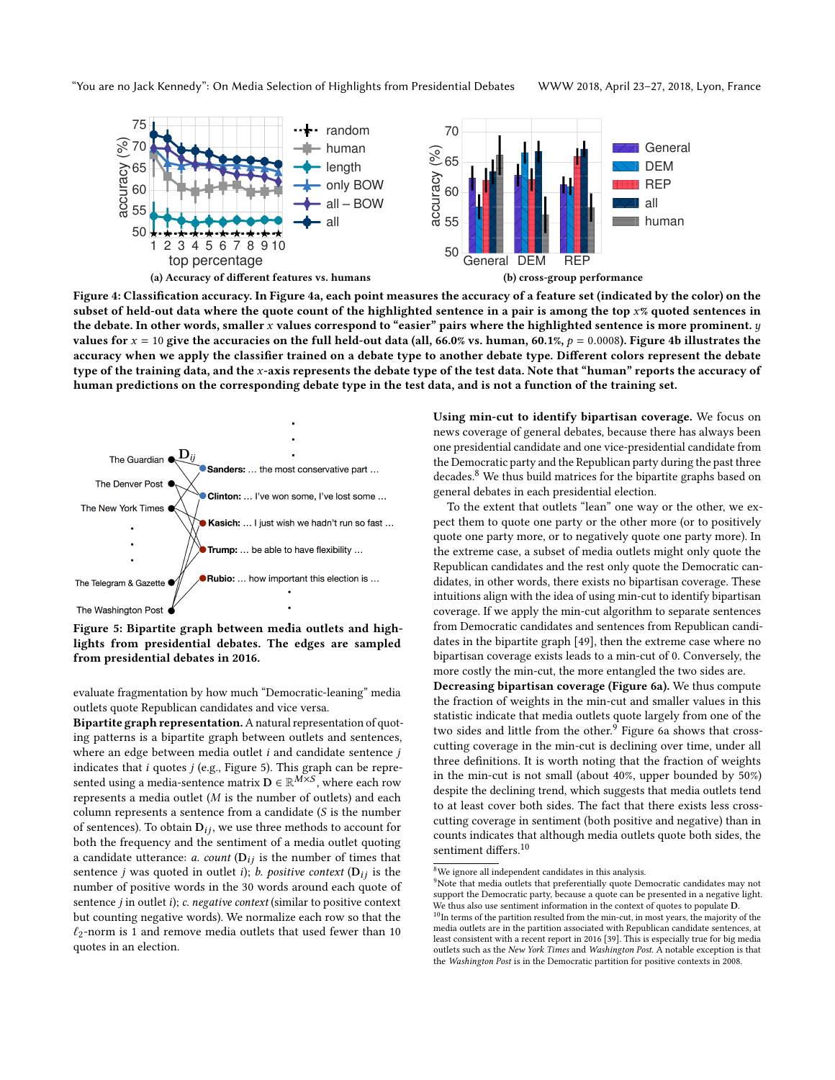<span id="page-6-0"></span>"You are no Jack Kennedy": On Media Selection of Highlights from Presidential Debates WWW 2018, April 23–27, 2018, Lyon, France



Figure 4: Classification accuracy. In Figure [4a,](#page-6-0) each point measures the accuracy of a feature set (indicated by the color) on the subset of held-out data where the quote count of the highlighted sentence in a pair is among the top x% quoted sentences in the debate. In other words, smaller x values correspond to "easier" pairs where the highlighted sentence is more prominent.  $y$ values for  $x = 10$  give the accuracies on the full held-out data (all, 66.0% vs. human, 60.1%,  $p = 0.0008$ ). Figure [4b](#page-6-0) illustrates the accuracy when we apply the classifier trained on a debate type to another debate type. Different colors represent the debate type of the training data, and the x-axis represents the debate type of the test data. Note that "human" reports the accuracy of human predictions on the corresponding debate type in the test data, and is not a function of the training set.

<span id="page-6-1"></span>

Figure 5: Bipartite graph between media outlets and highlights from presidential debates. The edges are sampled from presidential debates in 2016.

evaluate fragmentation by how much "Democratic-leaning" media outlets quote Republican candidates and vice versa.

Bipartite graph representation. A natural representation of quoting patterns is a bipartite graph between outlets and sentences, where an edge between media outlet  $i$  and candidate sentence  $j$ indicates that  $i$  quotes  $j$  (e.g., Figure [5\)](#page-6-1). This graph can be represented using a media-sentence matrix  $\mathbf{D} \in \mathbb{R}^{M \times S}$ , where each row represents a media outlet (M is the number of outlets) and each column represents a sentence from a candidate (S is the number of sentences). To obtain  $D_{ij}$ , we use three methods to account for both the frequency and the sentiment of a media outlet quoting a candidate utterance: *a. count* ( $D_{ij}$  is the number of times that sentence j was quoted in outlet i); b. positive context  $(D_{ij})$  is the number of positive words in the 30 words around each quote of sentence *j* in outlet *i*); *c. negative context* (similar to positive context but counting negative words). We normalize each row so that the  $\ell_2$ -norm is 1 and remove media outlets that used fewer than 10 quotes in an election.

Using min-cut to identify bipartisan coverage. We focus on news coverage of general debates, because there has always been one presidential candidate and one vice-presidential candidate from the Democratic party and the Republican party during the past three decades.<sup>[8](#page-6-2)</sup> We thus build matrices for the bipartite graphs based on general debates in each presidential election.

To the extent that outlets "lean" one way or the other, we expect them to quote one party or the other more (or to positively quote one party more, or to negatively quote one party more). In the extreme case, a subset of media outlets might only quote the Republican candidates and the rest only quote the Democratic candidates, in other words, there exists no bipartisan coverage. These intuitions align with the idea of using min-cut to identify bipartisan coverage. If we apply the min-cut algorithm to separate sentences from Democratic candidates and sentences from Republican candidates in the bipartite graph [\[49\]](#page-9-32), then the extreme case where no bipartisan coverage exists leads to a min-cut of 0. Conversely, the more costly the min-cut, the more entangled the two sides are.

Decreasing bipartisan coverage (Figure [6a\)](#page-7-0). We thus compute the fraction of weights in the min-cut and smaller values in this statistic indicate that media outlets quote largely from one of the two sides and little from the other.<sup>[9](#page-6-3)</sup> Figure [6a](#page-7-0) shows that crosscutting coverage in the min-cut is declining over time, under all three definitions. It is worth noting that the fraction of weights in the min-cut is not small (about 40%, upper bounded by 50%) despite the declining trend, which suggests that media outlets tend to at least cover both sides. The fact that there exists less crosscutting coverage in sentiment (both positive and negative) than in counts indicates that although media outlets quote both sides, the sentiment differs.<sup>[10](#page-6-4)</sup>

<span id="page-6-2"></span> ${}^{8}{\rm We}$  ignore all independent candidates in this analysis.

<span id="page-6-3"></span> $9$ Note that media outlets that preferentially quote Democratic candidates may not support the Democratic party, because a quote can be presented in a negative light. We thus also use sentiment information in the context of quotes to populate D.

<span id="page-6-4"></span> $^{10}\mathrm{In}$  terms of the partition resulted from the min-cut, in most years, the majority of the media outlets are in the partition associated with Republican candidate sentences, at least consistent with a recent report in 2016 [\[39\]](#page-9-33). This is especially true for big media outlets such as the New York Times and Washington Post. A notable exception is that the Washington Post is in the Democratic partition for positive contexts in 2008.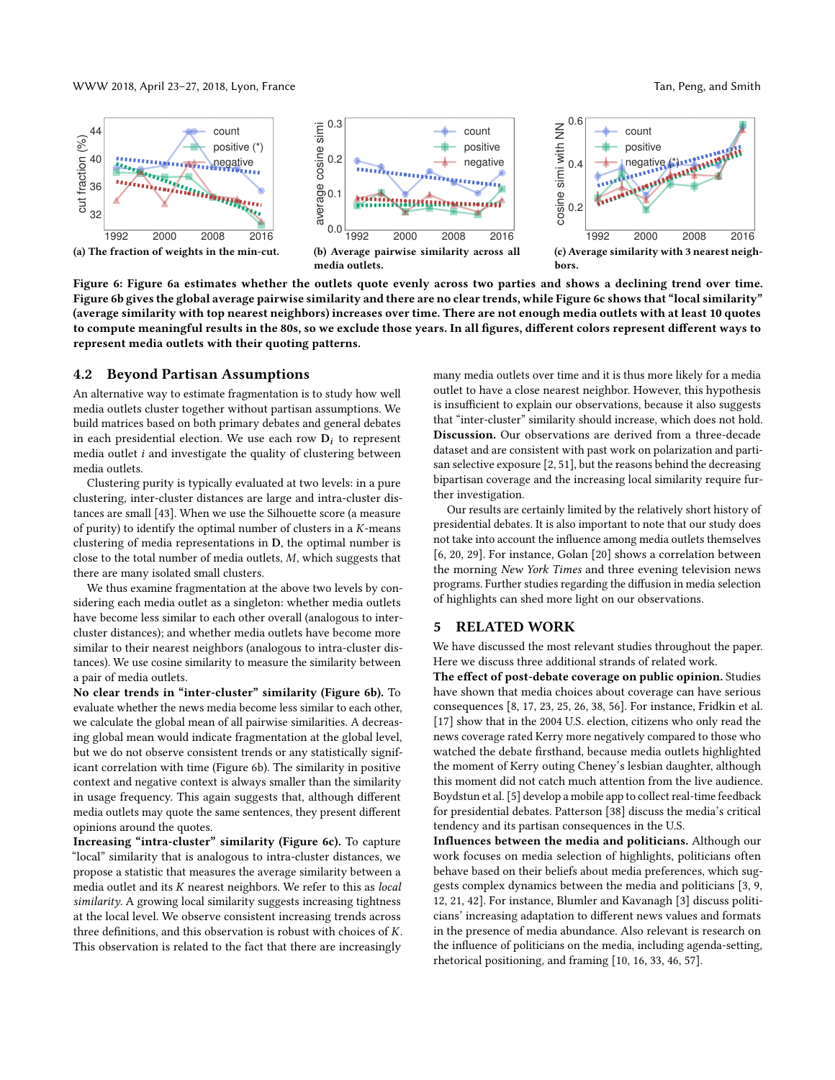WWW 2018, April 23–27, 2018, Lyon, France Tan, Peng, and Smith

<span id="page-7-0"></span>

Figure 6: Figure [6a](#page-7-0) estimates whether the outlets quote evenly across two parties and shows a declining trend over time. Figure [6b](#page-7-0) gives the global average pairwise similarity and there are no clear trends, while Figure [6c](#page-7-0) shows that "local similarity" (average similarity with top nearest neighbors) increases over time. There are not enough media outlets with at least 10 quotes to compute meaningful results in the 80s, so we exclude those years. In all figures, different colors represent different ways to represent media outlets with their quoting patterns.

#### 4.2 Beyond Partisan Assumptions

An alternative way to estimate fragmentation is to study how well media outlets cluster together without partisan assumptions. We build matrices based on both primary debates and general debates in each presidential election. We use each row  $D_i$  to represent media outlet i and investigate the quality of clustering between media outlets.

Clustering purity is typically evaluated at two levels: in a pure clustering, inter-cluster distances are large and intra-cluster distances are small [\[43\]](#page-9-34). When we use the Silhouette score (a measure of purity) to identify the optimal number of clusters in a  $K$ -means clustering of media representations in D, the optimal number is close to the total number of media outlets, M, which suggests that there are many isolated small clusters.

We thus examine fragmentation at the above two levels by considering each media outlet as a singleton: whether media outlets have become less similar to each other overall (analogous to intercluster distances); and whether media outlets have become more similar to their nearest neighbors (analogous to intra-cluster distances). We use cosine similarity to measure the similarity between a pair of media outlets.

No clear trends in "inter-cluster" similarity (Figure [6b\)](#page-7-0). To evaluate whether the news media become less similar to each other, we calculate the global mean of all pairwise similarities. A decreasing global mean would indicate fragmentation at the global level, but we do not observe consistent trends or any statistically significant correlation with time (Figure [6b\)](#page-7-0). The similarity in positive context and negative context is always smaller than the similarity in usage frequency. This again suggests that, although different media outlets may quote the same sentences, they present different opinions around the quotes.

Increasing "intra-cluster" similarity (Figure [6c\)](#page-7-0). To capture "local" similarity that is analogous to intra-cluster distances, we propose a statistic that measures the average similarity between a media outlet and its K nearest neighbors. We refer to this as local similarity. A growing local similarity suggests increasing tightness at the local level. We observe consistent increasing trends across three definitions, and this observation is robust with choices of K. This observation is related to the fact that there are increasingly

many media outlets over time and it is thus more likely for a media outlet to have a close nearest neighbor. However, this hypothesis is insufficient to explain our observations, because it also suggests that "inter-cluster" similarity should increase, which does not hold. Discussion. Our observations are derived from a three-decade dataset and are consistent with past work on polarization and partisan selective exposure [\[2,](#page-9-9) [51\]](#page-9-35), but the reasons behind the decreasing bipartisan coverage and the increasing local similarity require further investigation.

Our results are certainly limited by the relatively short history of presidential debates. It is also important to note that our study does not take into account the influence among media outlets themselves [\[6,](#page-9-36) [20,](#page-9-37) [29\]](#page-9-38). For instance, Golan [\[20\]](#page-9-37) shows a correlation between the morning New York Times and three evening television news programs. Further studies regarding the diffusion in media selection of highlights can shed more light on our observations.

#### 5 RELATED WORK

We have discussed the most relevant studies throughout the paper. Here we discuss three additional strands of related work.

The effect of post-debate coverage on public opinion. Studies have shown that media choices about coverage can have serious consequences [\[8,](#page-9-39) [17,](#page-9-2) [23,](#page-9-40) [25,](#page-9-3) [26,](#page-9-4) [38,](#page-9-41) [56\]](#page-9-42). For instance, Fridkin et al. [\[17\]](#page-9-2) show that in the 2004 U.S. election, citizens who only read the news coverage rated Kerry more negatively compared to those who watched the debate firsthand, because media outlets highlighted the moment of Kerry outing Cheney's lesbian daughter, although this moment did not catch much attention from the live audience. Boydstun et al. [\[5\]](#page-9-43) develop a mobile app to collect real-time feedback for presidential debates. Patterson [\[38\]](#page-9-41) discuss the media's critical tendency and its partisan consequences in the U.S.

Influences between the media and politicians. Although our work focuses on media selection of highlights, politicians often behave based on their beliefs about media preferences, which suggests complex dynamics between the media and politicians [\[3,](#page-9-44) [9,](#page-9-45) [12,](#page-9-46) [21,](#page-9-47) [42\]](#page-9-48). For instance, Blumler and Kavanagh [\[3\]](#page-9-44) discuss politicians' increasing adaptation to different news values and formats in the presence of media abundance. Also relevant is research on the influence of politicians on the media, including agenda-setting, rhetorical positioning, and framing [\[10,](#page-9-49) [16,](#page-9-50) [33,](#page-9-51) [46,](#page-9-52) [57\]](#page-9-53).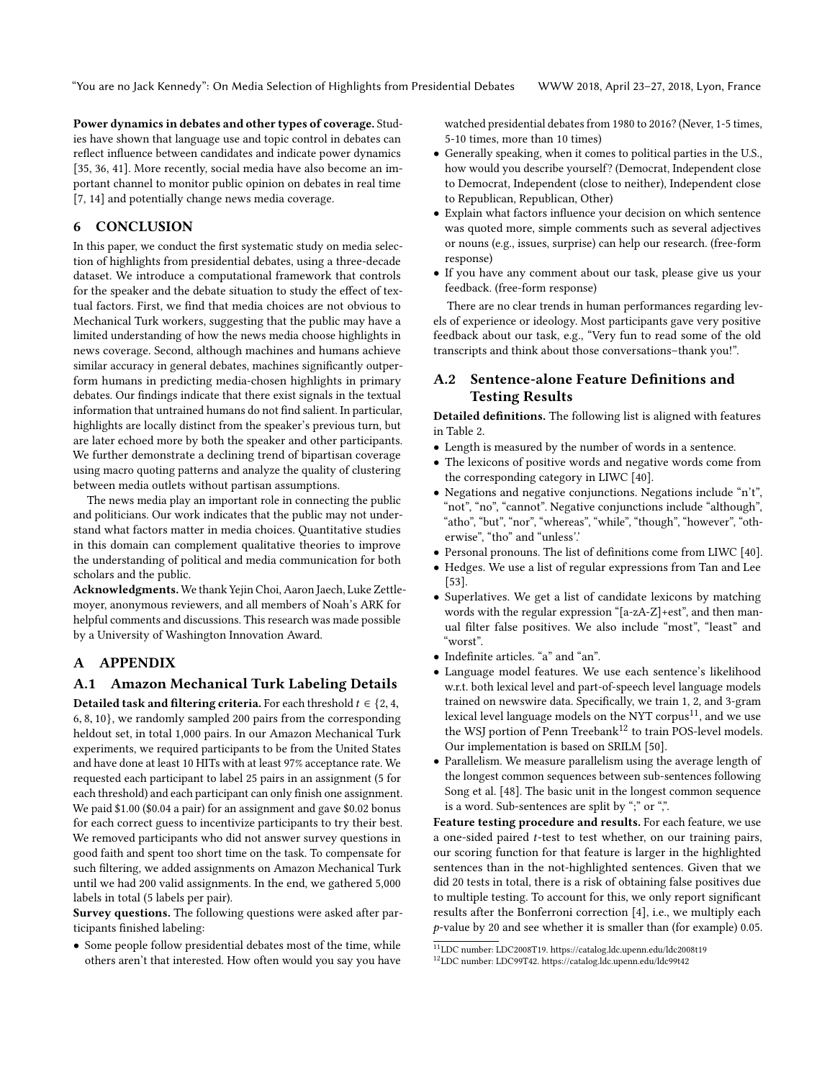Power dynamics in debates and other types of coverage. Studies have shown that language use and topic control in debates can reflect influence between candidates and indicate power dynamics [\[35,](#page-9-20) [36,](#page-9-54) [41\]](#page-9-55). More recently, social media have also become an important channel to monitor public opinion on debates in real time [\[7,](#page-9-56) [14\]](#page-9-57) and potentially change news media coverage.

## 6 CONCLUSION

In this paper, we conduct the first systematic study on media selection of highlights from presidential debates, using a three-decade dataset. We introduce a computational framework that controls for the speaker and the debate situation to study the effect of textual factors. First, we find that media choices are not obvious to Mechanical Turk workers, suggesting that the public may have a limited understanding of how the news media choose highlights in news coverage. Second, although machines and humans achieve similar accuracy in general debates, machines significantly outperform humans in predicting media-chosen highlights in primary debates. Our findings indicate that there exist signals in the textual information that untrained humans do not find salient. In particular, highlights are locally distinct from the speaker's previous turn, but are later echoed more by both the speaker and other participants. We further demonstrate a declining trend of bipartisan coverage using macro quoting patterns and analyze the quality of clustering between media outlets without partisan assumptions.

The news media play an important role in connecting the public and politicians. Our work indicates that the public may not understand what factors matter in media choices. Quantitative studies in this domain can complement qualitative theories to improve the understanding of political and media communication for both scholars and the public.

Acknowledgments. We thank Yejin Choi, Aaron Jaech, Luke Zettlemoyer, anonymous reviewers, and all members of Noah's ARK for helpful comments and discussions. This research was made possible by a University of Washington Innovation Award.

# A APPENDIX

## A.1 Amazon Mechanical Turk Labeling Details

Detailed task and filtering criteria. For each threshold  $t \in \{2, 4, \ldots\}$ <sup>6</sup>, <sup>8</sup>, <sup>10</sup>}, we randomly sampled 200 pairs from the corresponding heldout set, in total 1,000 pairs. In our Amazon Mechanical Turk experiments, we required participants to be from the United States and have done at least 10 HITs with at least 97% acceptance rate. We requested each participant to label 25 pairs in an assignment (5 for each threshold) and each participant can only finish one assignment. We paid \$1.00 (\$0.04 a pair) for an assignment and gave \$0.02 bonus for each correct guess to incentivize participants to try their best. We removed participants who did not answer survey questions in good faith and spent too short time on the task. To compensate for such filtering, we added assignments on Amazon Mechanical Turk until we had 200 valid assignments. In the end, we gathered 5,000 labels in total (5 labels per pair).

Survey questions. The following questions were asked after participants finished labeling:

• Some people follow presidential debates most of the time, while others aren't that interested. How often would you say you have watched presidential debates from 1980 to 2016? (Never, 1-5 times, 5-10 times, more than 10 times)

- Generally speaking, when it comes to political parties in the U.S., how would you describe yourself? (Democrat, Independent close to Democrat, Independent (close to neither), Independent close to Republican, Republican, Other)
- Explain what factors influence your decision on which sentence was quoted more, simple comments such as several adjectives or nouns (e.g., issues, surprise) can help our research. (free-form response)
- If you have any comment about our task, please give us your feedback. (free-form response)

There are no clear trends in human performances regarding levels of experience or ideology. Most participants gave very positive feedback about our task, e.g., "Very fun to read some of the old transcripts and think about those conversations–thank you!".

# A.2 Sentence-alone Feature Definitions and Testing Results

Detailed definitions. The following list is aligned with features in Table 2.

- Length is measured by the number of words in a sentence.
- The lexicons of positive words and negative words come from the corresponding category in LIWC [\[40\]](#page-9-22).
- Negations and negative conjunctions. Negations include "n't", "not", "no", "cannot". Negative conjunctions include "although", "atho", "but", "nor", "whereas", "while", "though", "however", "otherwise", "tho" and "unless'.'
- Personal pronouns. The list of definitions come from LIWC [\[40\]](#page-9-22).
- Hedges. We use a list of regular expressions from Tan and Lee [\[53\]](#page-9-26).
- Superlatives. We get a list of candidate lexicons by matching words with the regular expression "[a-zA-Z]+est", and then manual filter false positives. We also include "most", "least" and "worst".
- Indefinite articles. "a" and "an".
- Language model features. We use each sentence's likelihood w.r.t. both lexical level and part-of-speech level language models trained on newswire data. Specifically, we train 1, 2, and 3-gram lexical level language models on the NYT corpus<sup>[11](#page-8-0)</sup>, and we use the WSJ portion of Penn Treebank<sup>[12](#page-8-1)</sup> to train POS-level models. Our implementation is based on SRILM [\[50\]](#page-9-58).
- Parallelism. We measure parallelism using the average length of the longest common sequences between sub-sentences following Song et al. [\[48\]](#page-9-28). The basic unit in the longest common sequence is a word. Sub-sentences are split by ";" or ",".

Feature testing procedure and results. For each feature, we use a one-sided paired t-test to test whether, on our training pairs, our scoring function for that feature is larger in the highlighted sentences than in the not-highlighted sentences. Given that we did 20 tests in total, there is a risk of obtaining false positives due to multiple testing. To account for this, we only report significant results after the Bonferroni correction [\[4\]](#page-9-29), i.e., we multiply each p-value by 20 and see whether it is smaller than (for example) 0.05.

<span id="page-8-0"></span><sup>11</sup>LDC number: LDC2008T19.<https://catalog.ldc.upenn.edu/ldc2008t19>

<span id="page-8-1"></span><sup>12</sup>LDC number: LDC99T42.<https://catalog.ldc.upenn.edu/ldc99t42>